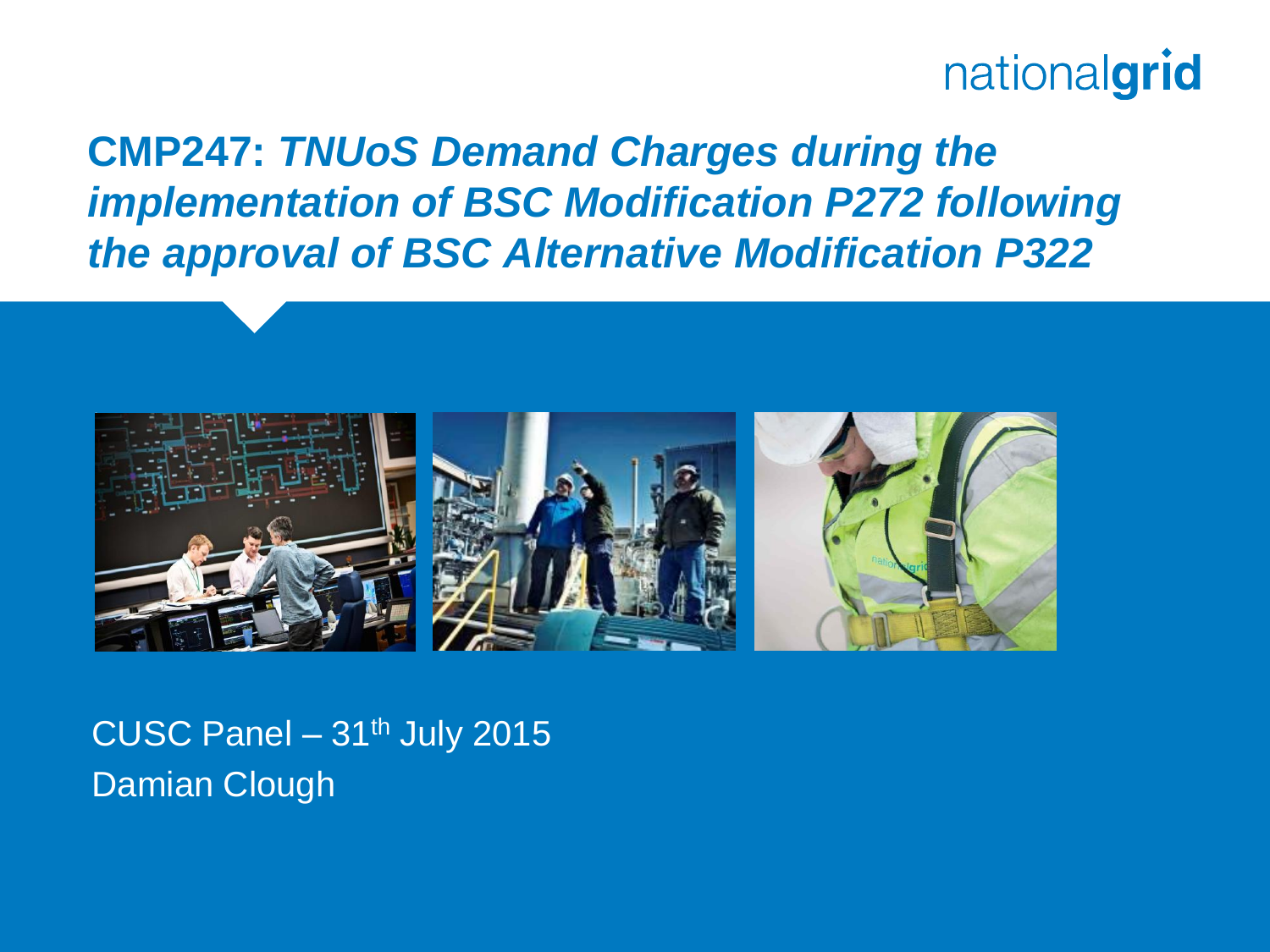**CMP247:** *TNUoS Demand Charges during the implementation of BSC Modification P272 following the approval of BSC Alternative Modification P322*



CUSC Panel  $-31<sup>th</sup>$  July 2015 Damian Clough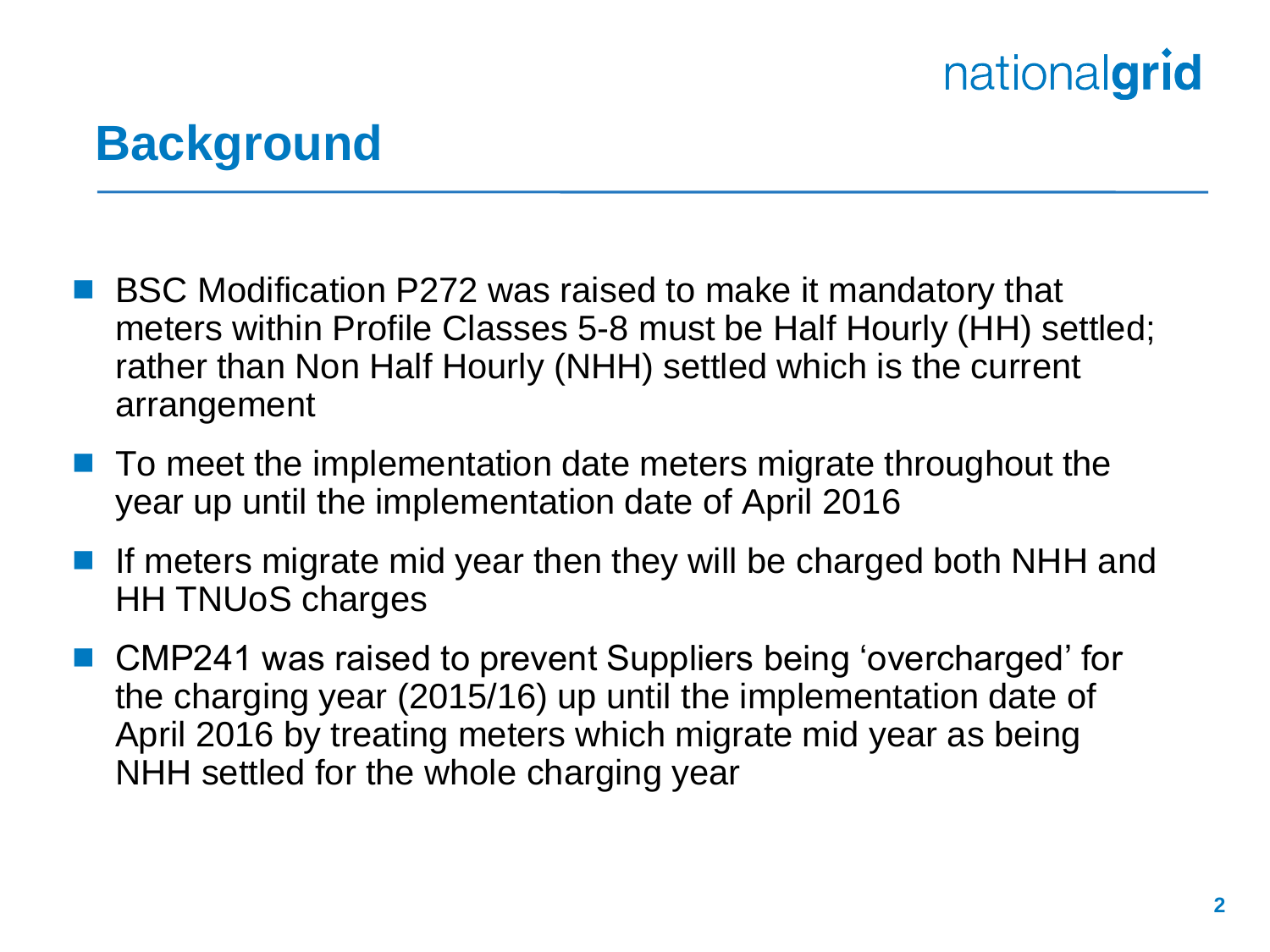### **Background**

- BSC Modification P272 was raised to make it mandatory that meters within Profile Classes 5-8 must be Half Hourly (HH) settled; rather than Non Half Hourly (NHH) settled which is the current arrangement
- $\blacksquare$  To meet the implementation date meters migrate throughout the year up until the implementation date of April 2016
- If meters migrate mid year then they will be charged both NHH and HH TNUoS charges
- CMP241 was raised to prevent Suppliers being 'overcharged' for the charging year (2015/16) up until the implementation date of April 2016 by treating meters which migrate mid year as being NHH settled for the whole charging year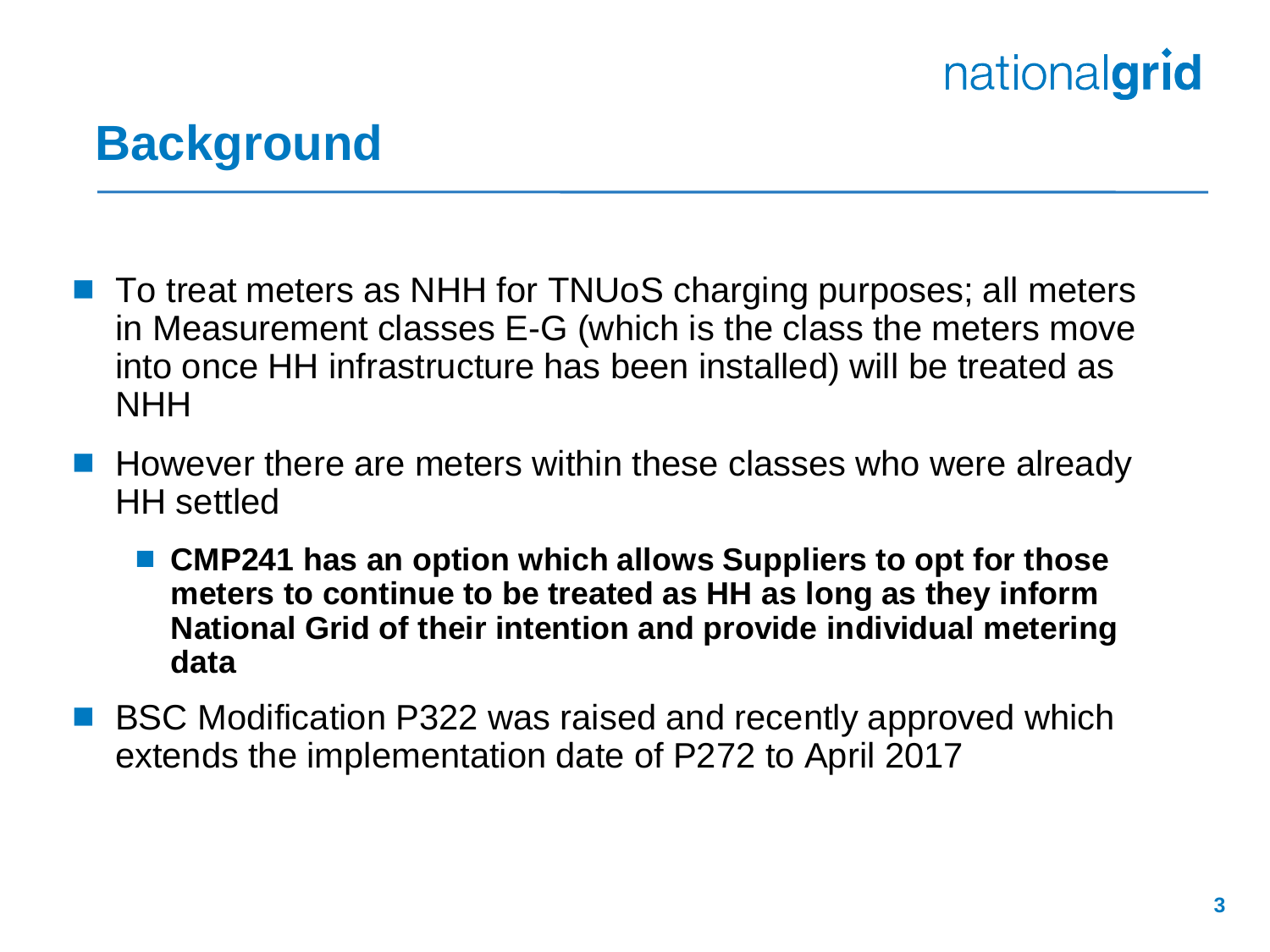### **Background**

- To treat meters as NHH for TNUoS charging purposes; all meters in Measurement classes E-G (which is the class the meters move into once HH infrastructure has been installed) will be treated as **NHH**
- **However there are meters within these classes who were already** HH settled
	- **CMP241 has an option which allows Suppliers to opt for those meters to continue to be treated as HH as long as they inform National Grid of their intention and provide individual metering data**
- **BSC Modification P322 was raised and recently approved which** extends the implementation date of P272 to April 2017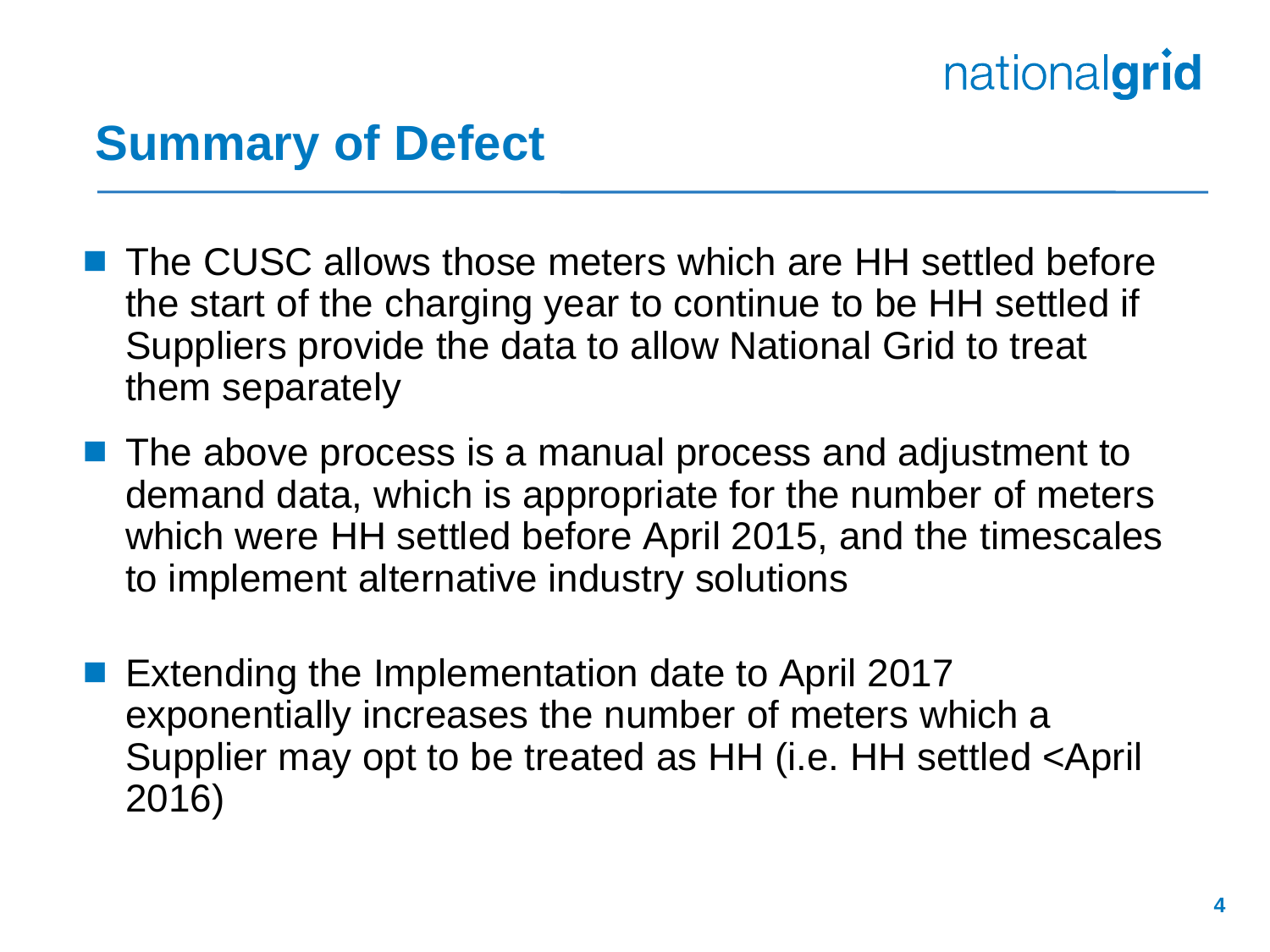### **Summary of Defect**

- The CUSC allows those meters which are HH settled before the start of the charging year to continue to be HH settled if Suppliers provide the data to allow National Grid to treat them separately
- The above process is a manual process and adjustment to demand data, which is appropriate for the number of meters which were HH settled before April 2015, and the timescales to implement alternative industry solutions
- Extending the Implementation date to April 2017 exponentially increases the number of meters which a Supplier may opt to be treated as HH (i.e. HH settled <April 2016)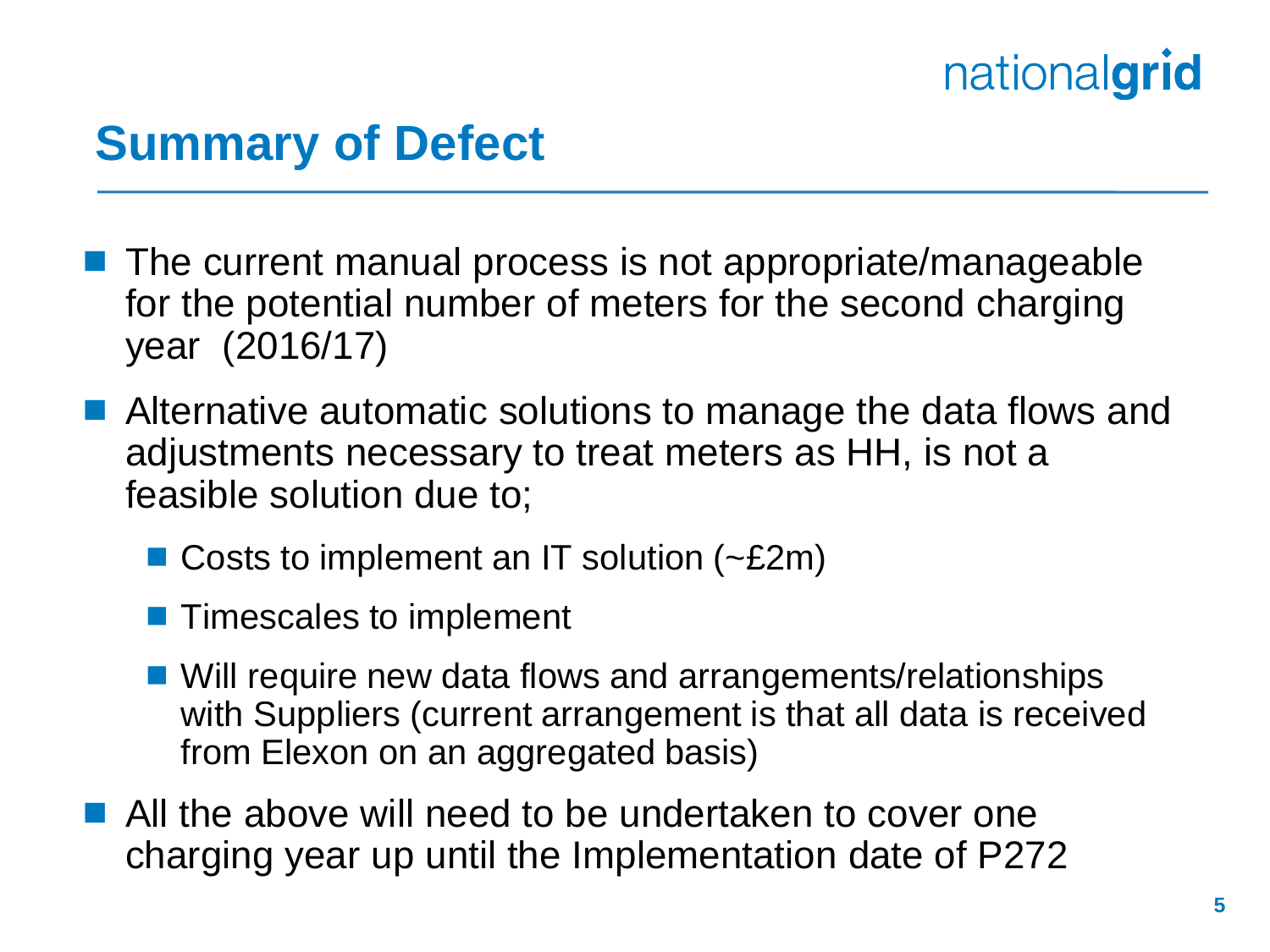### **Summary of Defect**

- The current manual process is not appropriate/manageable for the potential number of meters for the second charging year (2016/17)
- Alternative automatic solutions to manage the data flows and adjustments necessary to treat meters as HH, is not a feasible solution due to;
	- Costs to implement an IT solution (~£2m)
	- **Timescales to implement**
	- Will require new data flows and arrangements/relationships with Suppliers (current arrangement is that all data is received from Elexon on an aggregated basis)
- All the above will need to be undertaken to cover one charging year up until the Implementation date of P272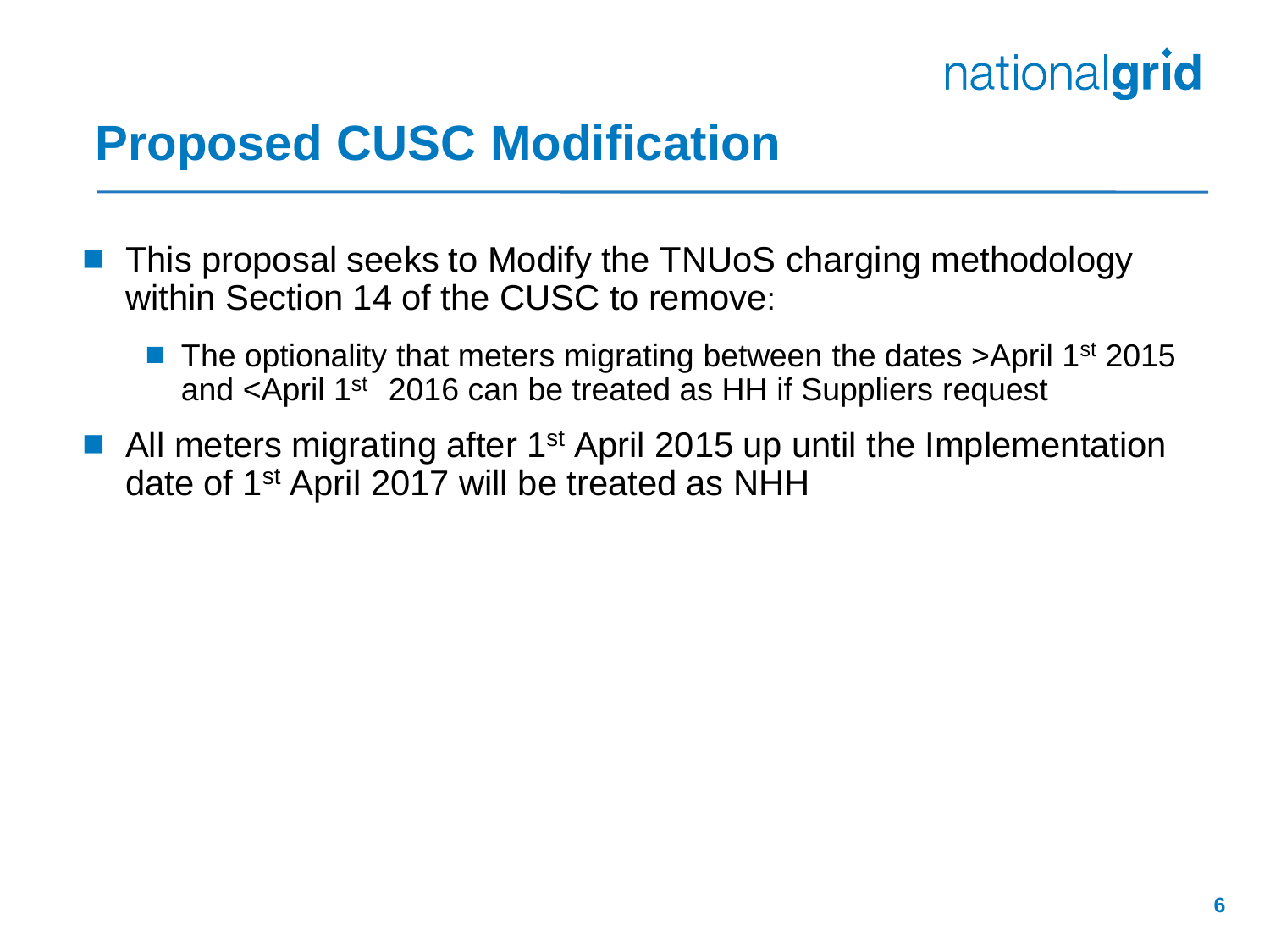

#### **Proposed CUSC Modification**

- **This proposal seeks to Modify the TNUoS charging methodology** within Section 14 of the CUSC to remove:
	- $\blacksquare$  The optionality that meters migrating between the dates >April 1<sup>st</sup> 2015 and <April 1st 2016 can be treated as HH if Suppliers request
- All meters migrating after 1<sup>st</sup> April 2015 up until the Implementation date of 1st April 2017 will be treated as NHH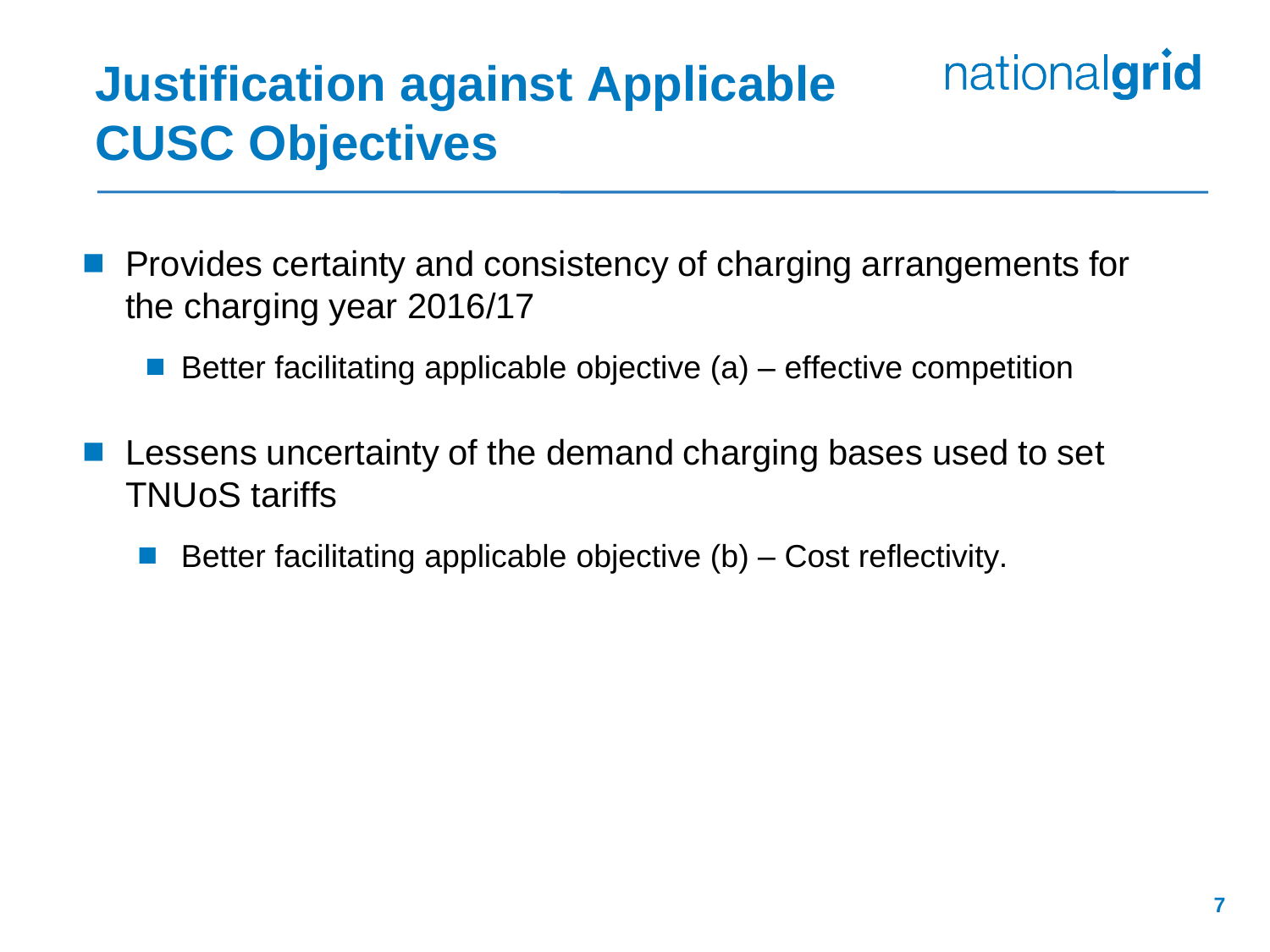## **Justification against Applicable CUSC Objectives**

- Provides certainty and consistency of charging arrangements for the charging year 2016/17
	- Better facilitating applicable objective  $(a)$  effective competition
- Lessens uncertainty of the demand charging bases used to set TNUoS tariffs
	- Better facilitating applicable objective (b) Cost reflectivity.

nationalgrid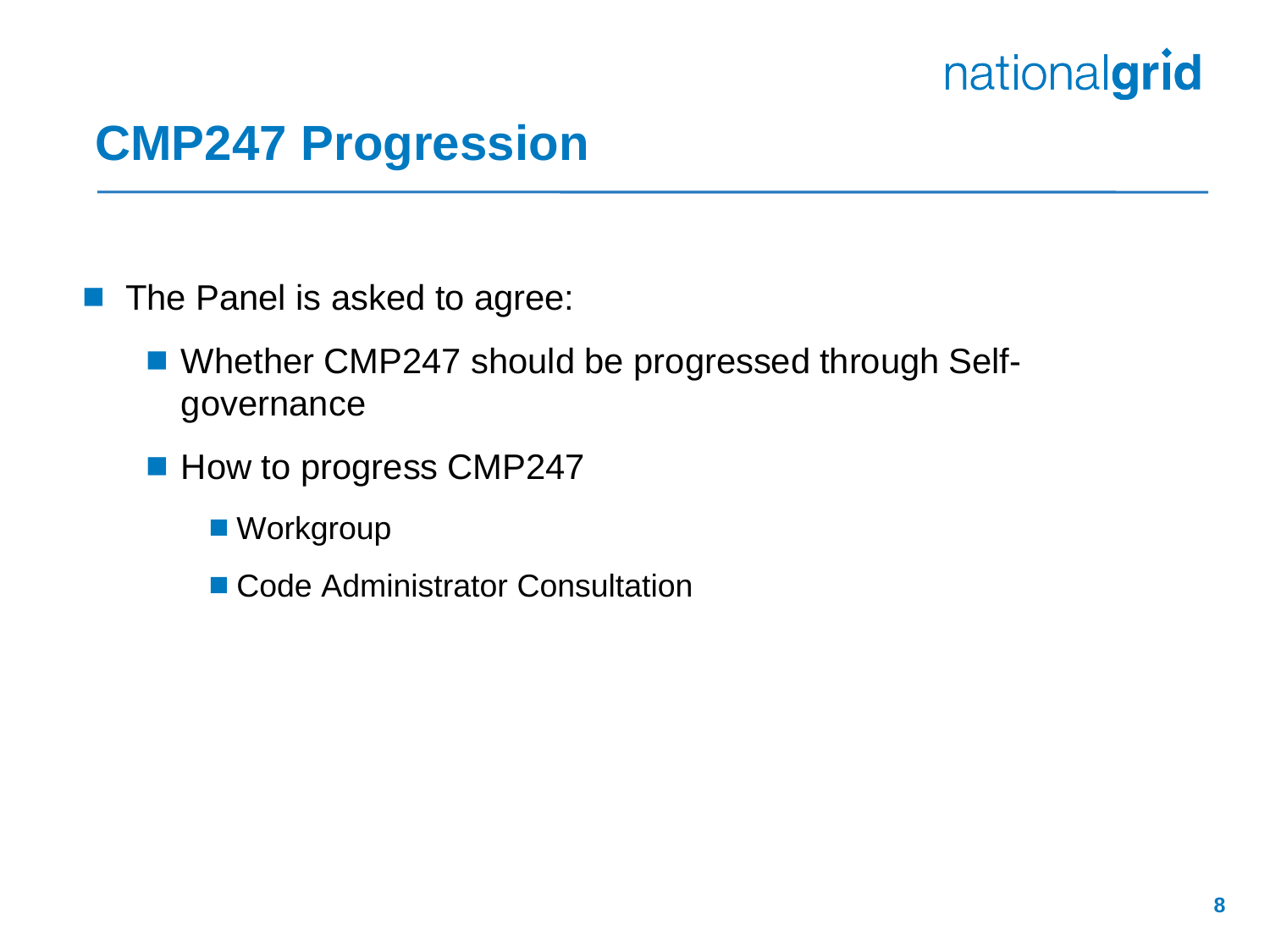#### **CMP247 Progression**

**The Panel is asked to agree:** 

- Whether CMP247 should be progressed through Selfgovernance
- How to progress CMP247
	- Workgroup
	- Code Administrator Consultation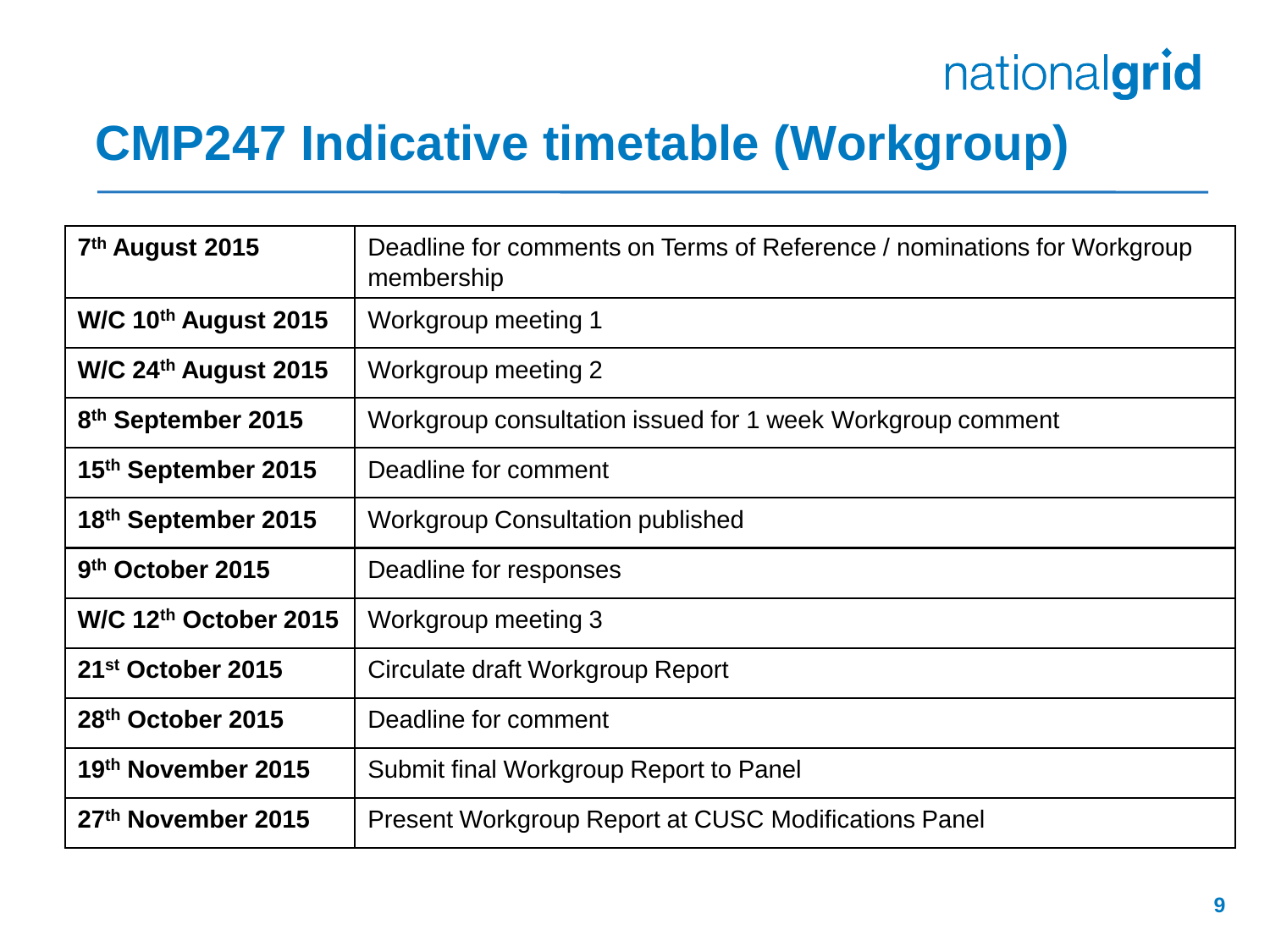### **CMP247 Indicative timetable (Workgroup)**

| 7 <sup>th</sup> August 2015    | Deadline for comments on Terms of Reference / nominations for Workgroup<br>membership |
|--------------------------------|---------------------------------------------------------------------------------------|
| W/C $10^{th}$ August 2015      | Workgroup meeting 1                                                                   |
| W/C $24th$ August 2015         | Workgroup meeting 2                                                                   |
| 8 <sup>th</sup> September 2015 | Workgroup consultation issued for 1 week Workgroup comment                            |
| 15th September 2015            | Deadline for comment                                                                  |
| 18th September 2015            | <b>Workgroup Consultation published</b>                                               |
| 9 <sup>th</sup> October 2015   | Deadline for responses                                                                |
| W/C $12th$ October 2015        | Workgroup meeting 3                                                                   |
| 21 <sup>st</sup> October 2015  | Circulate draft Workgroup Report                                                      |
| 28 <sup>th</sup> October 2015  | Deadline for comment                                                                  |
| 19th November 2015             | Submit final Workgroup Report to Panel                                                |
| 27th November 2015             | <b>Present Workgroup Report at CUSC Modifications Panel</b>                           |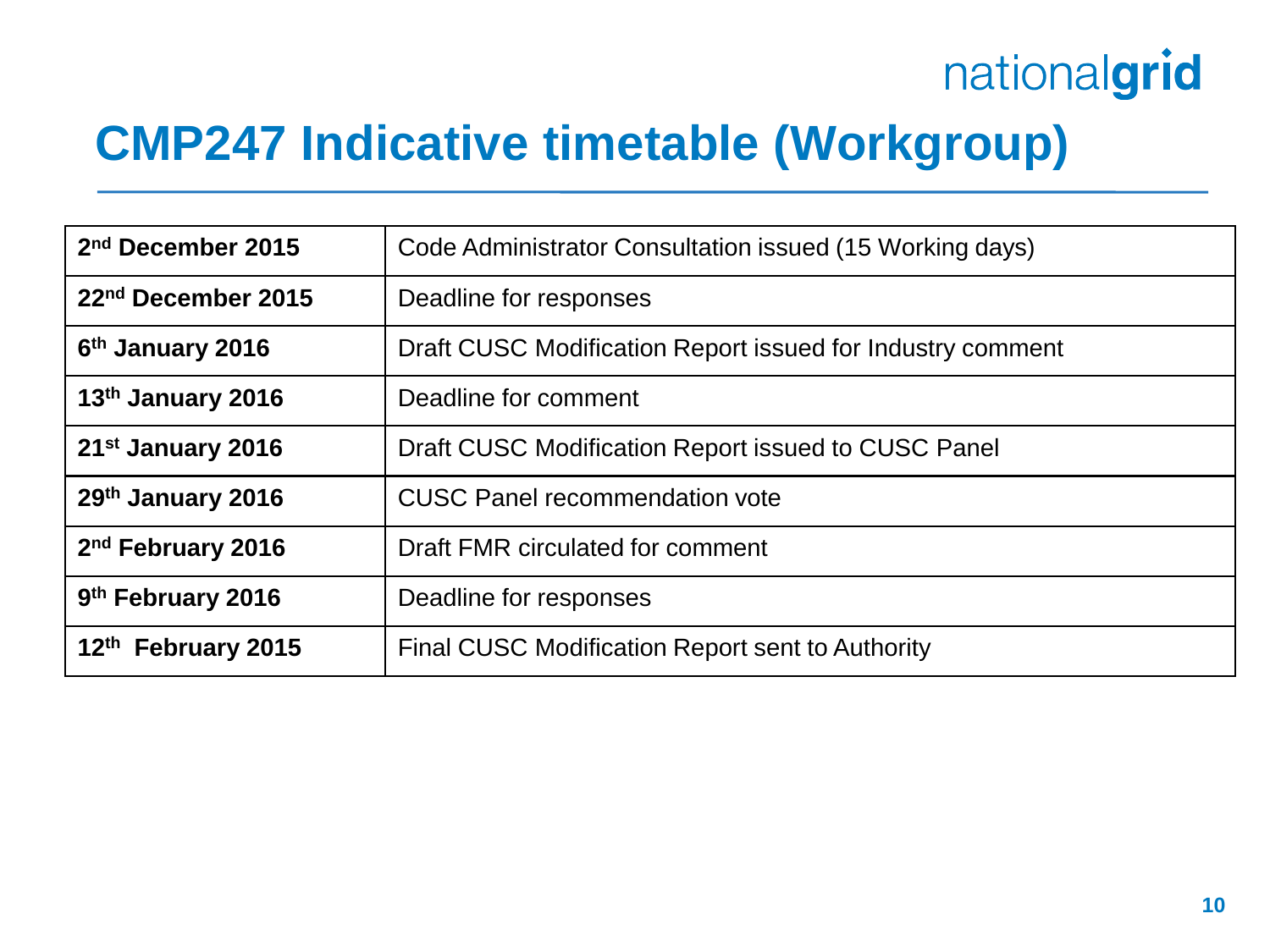#### **CMP247 Indicative timetable (Workgroup)**

| 2 <sup>nd</sup> December 2015  | Code Administrator Consultation issued (15 Working days)   |
|--------------------------------|------------------------------------------------------------|
| 22 <sup>nd</sup> December 2015 | Deadline for responses                                     |
| 6 <sup>th</sup> January 2016   | Draft CUSC Modification Report issued for Industry comment |
| 13th January 2016              | Deadline for comment                                       |
| 21 <sup>st</sup> January 2016  | Draft CUSC Modification Report issued to CUSC Panel        |
| 29th January 2016              | <b>CUSC Panel recommendation vote</b>                      |
| 2 <sup>nd</sup> February 2016  | Draft FMR circulated for comment                           |
| 9 <sup>th</sup> February 2016  | Deadline for responses                                     |
| 12th February 2015             | Final CUSC Modification Report sent to Authority           |